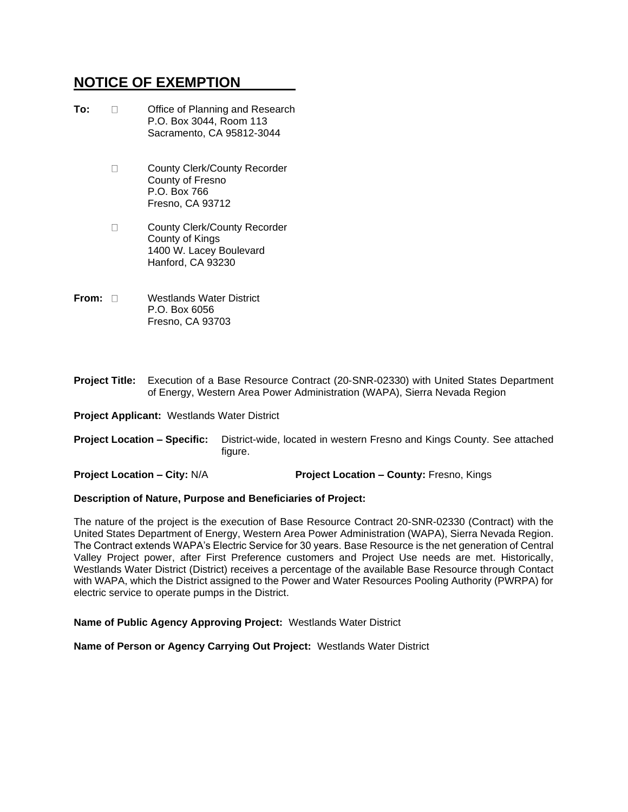## **NOTICE OF EXEMPTION**

| To: | Office of Planning and Research<br>P.O. Box 3044, Room 113<br>Sacramento, CA 95812-3044                |
|-----|--------------------------------------------------------------------------------------------------------|
|     | County Clerk/County Recorder<br>County of Fresno<br>P.O. Box 766<br>Fresno. CA 93712                   |
|     | <b>County Clerk/County Recorder</b><br>County of Kings<br>1400 W. Lacey Boulevard<br>Hanford, CA 93230 |
|     |                                                                                                        |

- **From:** Westlands Water District P.O. Box 6056 Fresno, CA 93703
- **Project Title:** Execution of a Base Resource Contract (20-SNR-02330) with United States Department of Energy, Western Area Power Administration (WAPA), Sierra Nevada Region

**Project Applicant:** Westlands Water District

**Project Location – Specific:** District-wide, located in western Fresno and Kings County. See attached figure.

**Project Location – City:** N/A **Project Location – County:** Fresno, Kings

#### **Description of Nature, Purpose and Beneficiaries of Project:**

The nature of the project is the execution of Base Resource Contract 20-SNR-02330 (Contract) with the United States Department of Energy, Western Area Power Administration (WAPA), Sierra Nevada Region. The Contract extends WAPA's Electric Service for 30 years. Base Resource is the net generation of Central Valley Project power, after First Preference customers and Project Use needs are met. Historically, Westlands Water District (District) receives a percentage of the available Base Resource through Contact with WAPA, which the District assigned to the Power and Water Resources Pooling Authority (PWRPA) for electric service to operate pumps in the District.

**Name of Public Agency Approving Project:** Westlands Water District

**Name of Person or Agency Carrying Out Project:** Westlands Water District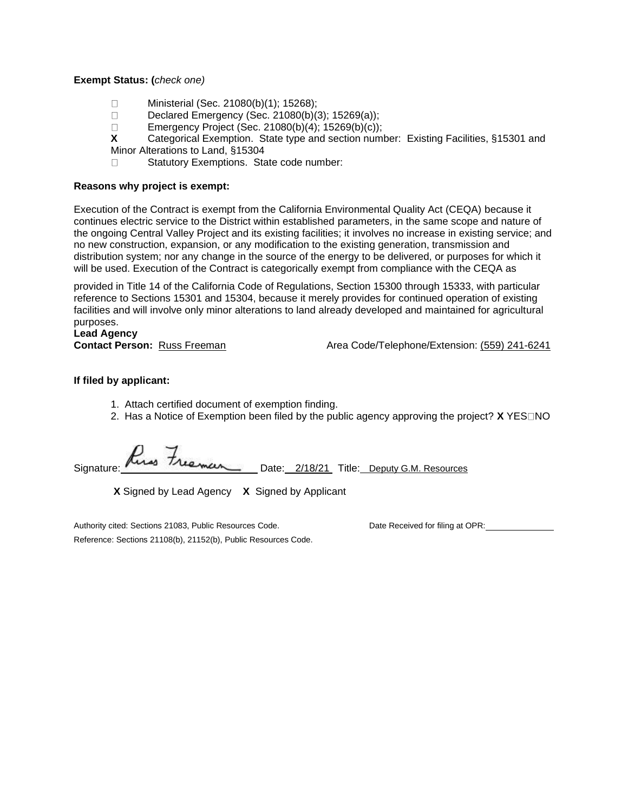### **Exempt Status: (***check one)*

- Ministerial (Sec. 21080(b)(1); 15268);  $\Box$
- $\Box$ Declared Emergency (Sec. 21080(b)(3); 15269(a));
- $\Box$ Emergency Project (Sec. 21080(b)(4); 15269(b)(c));
- **X** Categorical Exemption. State type and section number: Existing Facilities, §15301 and
- Minor Alterations to Land, §15304

Statutory Exemptions. State code number:  $\Box$ 

### **Reasons why project is exempt:**

Execution of the Contract is exempt from the California Environmental Quality Act (CEQA) because it continues electric service to the District within established parameters, in the same scope and nature of the ongoing Central Valley Project and its existing facilities; it involves no increase in existing service; and no new construction, expansion, or any modification to the existing generation, transmission and distribution system; nor any change in the source of the energy to be delivered, or purposes for which it will be used. Execution of the Contract is categorically exempt from compliance with the CEQA as

provided in Title 14 of the California Code of Regulations, Section 15300 through 15333, with particular reference to Sections 15301 and 15304, because it merely provides for continued operation of existing facilities and will involve only minor alterations to land already developed and maintained for agricultural purposes.

# **Lead Agency**

**Contact Person:** Russ Freeman Area Code/Telephone/Extension: (559) 241-6241

### **If filed by applicant:**

- 1. Attach certified document of exemption finding.
- 2. Has a Notice of Exemption been filed by the public agency approving the project? **X** YES NO

Signature: Rus Freeman Date: 2/18/21 Title: Deputy G.M. Resources

**X** Signed by Lead Agency **X** Signed by Applicant

Authority cited: Sections 21083, Public Resources Code. Date Received for filing at OPR: Reference: Sections 21108(b), 21152(b), Public Resources Code.